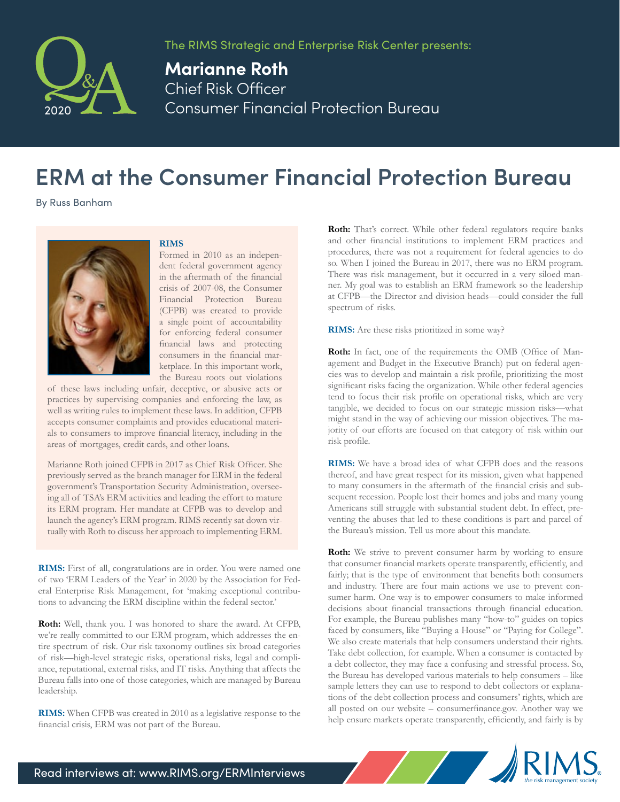

The RIMS Strategic and Enterprise Risk Center presents:

**Marianne Roth** Chief Risk Officer Consumer Financial Protection Bureau

## **ERM at the Consumer Financial Protection Bureau**

By Russ Banham

## **RIMS**



Formed in 2010 as an independent federal government agency in the aftermath of the financial crisis of 2007-08, the Consumer Financial Protection Bureau (CFPB) was created to provide a single point of accountability for enforcing federal consumer financial laws and protecting consumers in the financial marketplace. In this important work, the Bureau roots out violations

of these laws including unfair, deceptive, or abusive acts or practices by supervising companies and enforcing the law, as well as writing rules to implement these laws. In addition, CFPB accepts consumer complaints and provides educational materials to consumers to improve financial literacy, including in the areas of mortgages, credit cards, and other loans.

Marianne Roth joined CFPB in 2017 as Chief Risk Officer. She previously served as the branch manager for ERM in the federal government's Transportation Security Administration, overseeing all of TSA's ERM activities and leading the effort to mature its ERM program. Her mandate at CFPB was to develop and launch the agency's ERM program. RIMS recently sat down virtually with Roth to discuss her approach to implementing ERM.

**RIMS:** First of all, congratulations are in order. You were named one of two 'ERM Leaders of the Year' in 2020 by the Association for Federal Enterprise Risk Management, for 'making exceptional contributions to advancing the ERM discipline within the federal sector.'

**Roth:** Well, thank you. I was honored to share the award. At CFPB, we're really committed to our ERM program, which addresses the entire spectrum of risk. Our risk taxonomy outlines six broad categories of risk—high-level strategic risks, operational risks, legal and compliance, reputational, external risks, and IT risks. Anything that affects the Bureau falls into one of those categories, which are managed by Bureau leadership.

**RIMS:** When CFPB was created in 2010 as a legislative response to the financial crisis, ERM was not part of the Bureau.

Roth: That's correct. While other federal regulators require banks and other financial institutions to implement ERM practices and procedures, there was not a requirement for federal agencies to do so. When I joined the Bureau in 2017, there was no ERM program. There was risk management, but it occurred in a very siloed manner. My goal was to establish an ERM framework so the leadership at CFPB—the Director and division heads—could consider the full spectrum of risks.

**RIMS:** Are these risks prioritized in some way?

**Roth:** In fact, one of the requirements the OMB (Office of Management and Budget in the Executive Branch) put on federal agencies was to develop and maintain a risk profile, prioritizing the most significant risks facing the organization. While other federal agencies tend to focus their risk profile on operational risks, which are very tangible, we decided to focus on our strategic mission risks—what might stand in the way of achieving our mission objectives. The majority of our efforts are focused on that category of risk within our risk profile.

**RIMS:** We have a broad idea of what CFPB does and the reasons thereof, and have great respect for its mission, given what happened to many consumers in the aftermath of the financial crisis and subsequent recession. People lost their homes and jobs and many young Americans still struggle with substantial student debt. In effect, preventing the abuses that led to these conditions is part and parcel of the Bureau's mission. Tell us more about this mandate.

**Roth:** We strive to prevent consumer harm by working to ensure that consumer financial markets operate transparently, efficiently, and fairly; that is the type of environment that benefits both consumers and industry. There are four main actions we use to prevent consumer harm. One way is to empower consumers to make informed decisions about financial transactions through financial education. For example, the Bureau publishes many "how-to" guides on topics faced by consumers, like "Buying a House" or "Paying for College". We also create materials that help consumers understand their rights. Take debt collection, for example. When a consumer is contacted by a debt collector, they may face a confusing and stressful process. So, the Bureau has developed various materials to help consumers – like sample letters they can use to respond to debt collectors or explanations of the debt collection process and consumers' rights, which are all posted on our website – consumerfinance.gov. Another way we help ensure markets operate transparently, efficiently, and fairly is by